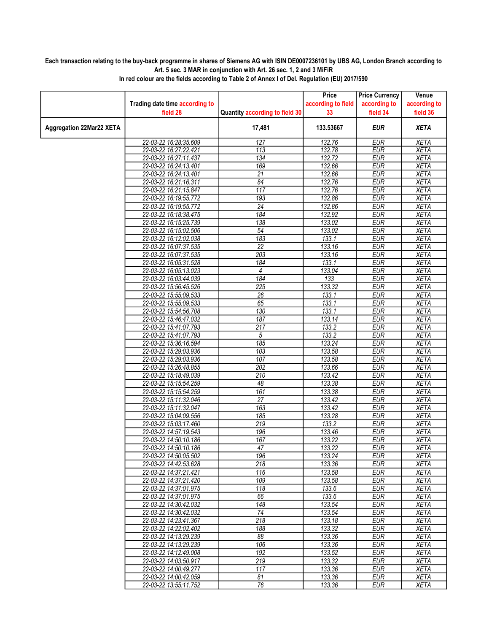## Each transaction relating to the buy-back programme in shares of Siemens AG with ISIN DE0007236101 by UBS AG, London Branch according to Art. 5 sec. 3 MAR in conjunction with Art. 26 sec. 1, 2 and 3 MiFiR

|                                 |                                |                                | Price               | <b>Price Currency</b>    | Venue        |
|---------------------------------|--------------------------------|--------------------------------|---------------------|--------------------------|--------------|
|                                 | Trading date time according to |                                | according to field  | according to             | according to |
|                                 | field 28                       | Quantity according to field 30 | 33                  | field 34                 | field 36     |
| <b>Aggregation 22Mar22 XETA</b> |                                | 17,481                         | 133.53667           | <b>EUR</b>               | <b>XETA</b>  |
|                                 | 22-03-22 16:28:35.609          | 127                            | 132.76              | <b>EUR</b>               | <b>XETA</b>  |
|                                 | 22-03-22 16:27:22.421          | $\overline{113}$               | 132.78              | <b>EUR</b>               | <b>XETA</b>  |
|                                 | 22-03-22 16:27:11.437          | 134                            | $\overline{132.72}$ | <b>EUR</b>               | <b>XETA</b>  |
|                                 | 22-03-22 16:24:13.401          | 169                            | 132.66              | <b>EUR</b>               | <b>XETA</b>  |
|                                 | 22-03-22 16:24:13.401          | $\overline{21}$                | 132.66              | <b>EUR</b>               | <b>XETA</b>  |
|                                 | 22-03-22 16:21:16.311          | 84                             | 132.76              | <b>EUR</b>               | <b>XETA</b>  |
|                                 | 22-03-22 16:21:15.847          | 117                            | 132.76              | <b>EUR</b>               | <b>XETA</b>  |
|                                 | 22-03-22 16:19:55.772          | 193                            | 132.86              | <b>EUR</b>               | <b>XETA</b>  |
|                                 | 22-03-22 16:19:55.772          | $\overline{24}$                | 132.86              | <b>EUR</b>               | <b>XETA</b>  |
|                                 | 22-03-22 16:18:38.475          | 184                            | 132.92              | <b>EUR</b>               | XETA         |
|                                 | 22-03-22 16:15:25.739          | 138                            | 133.02              | <b>EUR</b>               | <b>XETA</b>  |
|                                 | 22-03-22 16:15:02.506          | $\overline{54}$                | 133.02              | <b>EUR</b>               | <b>XETA</b>  |
|                                 | 22-03-22 16:12:02.038          | 183                            | 133.1               | <b>EUR</b>               | <b>XETA</b>  |
|                                 | 22-03-22 16:07:37.535          | $\overline{22}$                | 133.16              | <b>EUR</b>               | <b>XETA</b>  |
|                                 | 22-03-22 16:07:37.535          | 203                            | 133.16              | <b>EUR</b>               | <b>XETA</b>  |
|                                 | 22-03-22 16:05:31.528          | 184                            | 133.1               | <b>EUR</b>               | <b>XETA</b>  |
|                                 | 22-03-22 16:05:13.023          | 4                              | 133.04              | <b>EUR</b>               | <b>XETA</b>  |
|                                 | 22-03-22 16:03:44.039          | $\overline{184}$               | 133                 | <b>EUR</b>               | <b>XETA</b>  |
|                                 | 22-03-22 15:56:45.526          | 225                            | 133.32              | <b>EUR</b>               | <b>XETA</b>  |
|                                 | 22-03-22 15:55:09.533          | $\overline{26}$                | 133.1               | <b>EUR</b>               | <b>XETA</b>  |
|                                 | 22-03-22 15:55:09.533          | 65                             | 133.1               | <b>EUR</b>               | <b>XETA</b>  |
|                                 | 22-03-22 15:54:56.708          | 130                            | 133.1               | <b>EUR</b>               | <b>XETA</b>  |
|                                 | 22-03-22 15:46:47.032          | 187                            | 133.14              | <b>EUR</b>               | <b>XETA</b>  |
|                                 | 22-03-22 15:41:07.793          | 217                            | 133.2               | <b>EUR</b>               | <b>XETA</b>  |
|                                 | 22-03-22 15:41:07.793          | 5                              | 133.2               | <b>EUR</b>               | <b>XETA</b>  |
|                                 | 22-03-22 15:36:16.594          | $\overline{185}$               | 133.24              | <b>EUR</b>               | <b>XETA</b>  |
|                                 | 22-03-22 15:29:03.936          | 103                            | 133.58              | <b>EUR</b>               | <b>XETA</b>  |
|                                 |                                | 107                            | 133.58              | <b>EUR</b>               |              |
|                                 | 22-03-22 15:29:03.936          |                                |                     |                          | <b>XETA</b>  |
|                                 | 22-03-22 15:26:48.855          | 202<br>210                     | 133.66<br>133.42    | <b>EUR</b><br><b>EUR</b> | <b>XETA</b>  |
|                                 | 22-03-22 15:18:49.039          |                                |                     |                          | <b>XETA</b>  |
|                                 | 22-03-22 15:15:54.259          | 48                             | 133.38              | <b>EUR</b>               | <b>XETA</b>  |
|                                 | 22-03-22 15:15:54.259          | 161                            | 133.38              | <b>EUR</b>               | <b>XETA</b>  |
|                                 | 22-03-22 15:11:32.046          | $\overline{27}$                | 133.42              | <b>EUR</b>               | <b>XETA</b>  |
|                                 | 22-03-22 15:11:32.047          | 163                            | 133.42              | <b>EUR</b>               | <b>XETA</b>  |
|                                 | 22-03-22 15:04:09.556          | 185                            | 133.28              | <b>EUR</b>               | <b>XETA</b>  |
|                                 | 22-03-22 15:03:17.460          | 219                            | 133.2               | <b>EUR</b>               | <b>XETA</b>  |
|                                 | 22-03-22 14:57:19.543          | 196                            | 133.46              | <b>EUR</b>               | <b>XETA</b>  |
|                                 | 22-03-22 14:50:10.186          | 167                            | 133.22              | <b>EUR</b>               | <b>XETA</b>  |
|                                 | 22-03-22 14:50:10.186          | 47                             | 133.22              | <b>EUR</b>               | <b>XETA</b>  |
|                                 | 22-03-22 14:50:05.502          | 196                            | 133.24              | <b>EUR</b>               | <b>XETA</b>  |
|                                 | 22-03-22 14:42:53.628          | 218                            | 133.36              | EUR                      | XETA         |
|                                 | 22-03-22 14:37:21.421          | 116                            | 133.58              | <b>EUR</b>               | <b>XETA</b>  |
|                                 | 22-03-22 14:37:21.420          | 109                            | 133.58              | <b>EUR</b>               | <b>XETA</b>  |
|                                 | 22-03-22 14:37:01.975          | 118                            | 133.6               | <b>EUR</b>               | <b>XETA</b>  |
|                                 | 22-03-22 14:37:01.975          | 66                             | 133.6               | <b>EUR</b>               | <b>XETA</b>  |
|                                 | 22-03-22 14:30:42.032          | 148                            | 133.54              | <b>EUR</b>               | <b>XETA</b>  |
|                                 | 22-03-22 14:30:42.032          | 74                             | 133.54              | EUR                      | XETA         |
|                                 | 22-03-22 14:23:41.367          | $\overline{218}$               | 133.18              | <b>EUR</b>               | <b>XETA</b>  |
|                                 | 22-03-22 14:22:02.402          | 188                            | 133.32              | <b>EUR</b>               | <b>XETA</b>  |
|                                 | 22-03-22 14:13:29.239          | 88                             | 133.36              | <b>EUR</b>               | <b>XETA</b>  |
|                                 | 22-03-22 14:13:29.239          | 106                            | 133.36              | <b>EUR</b>               | <b>XETA</b>  |
|                                 | 22-03-22 14:12:49.008          | 192                            | 133.52              | EUR                      | <b>XETA</b>  |
|                                 | 22-03-22 14:03:50.917          | 219                            | 133.32              | EUR                      | <b>XETA</b>  |
|                                 | 22-03-22 14:00:49.277          | 117                            | 133.36              | <b>EUR</b>               | <b>XETA</b>  |
|                                 | 22-03-22 14:00:42.059          | 81                             | 133.36              | <b>EUR</b>               | <b>XETA</b>  |
|                                 | 22-03-22 13:55:11.752          | $\overline{76}$                | 133.36              | <b>EUR</b>               | <b>XETA</b>  |

In red colour are the fields according to Table 2 of Annex I of Del. Regulation (EU) 2017/590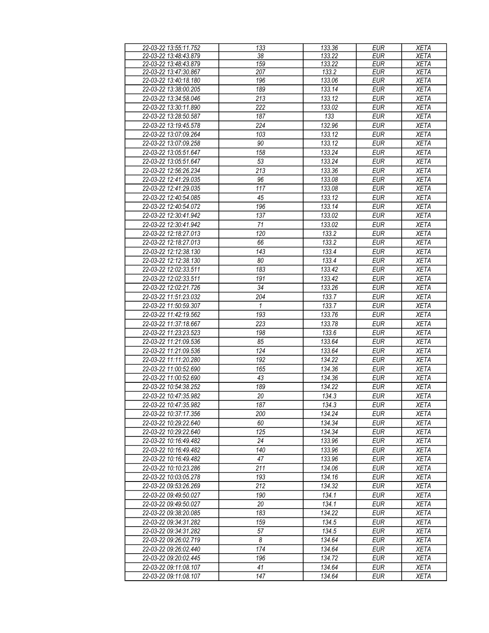| 22-03-22 13:55:11.752 | 133                   | 133.36 | <b>EUR</b> | <b>XETA</b> |
|-----------------------|-----------------------|--------|------------|-------------|
| 22-03-22 13:48:43.879 | $\overline{38}$       | 133.22 | <b>EUR</b> | <b>XETA</b> |
| 22-03-22 13:48:43.879 | 159                   | 133.22 | <b>EUR</b> | <b>XETA</b> |
| 22-03-22 13:47:30.867 | 207                   | 133.2  | <b>EUR</b> | <b>XETA</b> |
| 22-03-22 13:40:18.180 | 196                   | 133.06 | <b>EUR</b> | <b>XETA</b> |
| 22-03-22 13:38:00.205 | 189                   | 133.14 | <b>EUR</b> | <b>XETA</b> |
| 22-03-22 13:34:58.046 | 213                   | 133.12 | <b>EUR</b> | <b>XETA</b> |
| 22-03-22 13:30:11.890 | 222                   | 133.02 | <b>EUR</b> | <b>XETA</b> |
|                       |                       |        |            |             |
| 22-03-22 13:28:50.587 | 187                   | 133    | <b>EUR</b> | XETA        |
| 22-03-22 13:19:45.578 | 224                   | 132.96 | <b>EUR</b> | <b>XETA</b> |
| 22-03-22 13:07:09.264 | 103                   | 133.12 | <b>EUR</b> | <b>XETA</b> |
| 22-03-22 13:07:09.258 | 90                    | 133.12 | <b>EUR</b> | <b>XETA</b> |
| 22-03-22 13:05:51.647 | 158                   | 133.24 | <b>EUR</b> | <b>XETA</b> |
| 22-03-22 13:05:51.647 | 53                    | 133.24 | <b>EUR</b> | <b>XETA</b> |
| 22-03-22 12:56:26.234 | 213                   | 133.36 | <b>EUR</b> | <b>XETA</b> |
| 22-03-22 12:41:29.035 | 96                    | 133.08 | <b>EUR</b> | <b>XETA</b> |
| 22-03-22 12:41:29.035 | 117                   | 133.08 | <b>EUR</b> | <b>XETA</b> |
| 22-03-22 12:40:54.085 | 45                    | 133.12 | <b>EUR</b> | <b>XETA</b> |
| 22-03-22 12:40:54.072 | 196                   | 133.14 | <b>EUR</b> | <b>XETA</b> |
|                       |                       |        |            |             |
| 22-03-22 12:30:41.942 | 137                   | 133.02 | <b>EUR</b> | <b>XETA</b> |
| 22-03-22 12:30:41.942 | 71                    | 133.02 | <b>EUR</b> | <b>XETA</b> |
| 22-03-22 12:18:27.013 | 120                   | 133.2  | <b>EUR</b> | <b>XETA</b> |
| 22-03-22 12:18:27.013 | 66                    | 133.2  | <b>EUR</b> | <b>XETA</b> |
| 22-03-22 12:12:38.130 | 143                   | 133.4  | <b>EUR</b> | <b>XETA</b> |
| 22-03-22 12:12:38.130 | 80                    | 133.4  | <b>EUR</b> | <b>XETA</b> |
| 22-03-22 12:02:33.511 | 183                   | 133.42 | <b>EUR</b> | <b>XETA</b> |
| 22-03-22 12:02:33.511 | 191                   | 133.42 | <b>EUR</b> | <b>XETA</b> |
| 22-03-22 12:02:21.726 | 34                    | 133.26 | <b>EUR</b> | <b>XETA</b> |
| 22-03-22 11:51:23.032 | 204                   | 133.7  | <b>EUR</b> | <b>XETA</b> |
| 22-03-22 11:50:59.307 | 1                     | 133.7  | <b>EUR</b> | <b>XETA</b> |
|                       |                       |        |            |             |
| 22-03-22 11:42:19.562 | 193                   | 133.76 | <b>EUR</b> | <b>XETA</b> |
| 22-03-22 11:37:18.667 | 223                   | 133.78 | <b>EUR</b> | <b>XETA</b> |
| 22-03-22 11:23:23.523 | 198                   | 133.6  | <b>EUR</b> | <b>XETA</b> |
| 22-03-22 11:21:09.536 | 85                    | 133.64 | <b>EUR</b> | XETA        |
| 22-03-22 11:21:09.536 | 124                   | 133.64 | <b>EUR</b> | <b>XETA</b> |
| 22-03-22 11:11:20.280 | 192                   | 134.22 | <b>EUR</b> | <b>XETA</b> |
| 22-03-22 11:00:52.690 | 165                   | 134.36 | <b>EUR</b> | <b>XETA</b> |
| 22-03-22 11:00:52.690 | 43                    | 134.36 | <b>EUR</b> | <b>XETA</b> |
| 22-03-22 10:54:38.252 | 189                   | 134.22 | <b>EUR</b> | <b>XETA</b> |
| 22-03-22 10:47:35.982 | 20                    | 134.3  | <b>EUR</b> | <b>XETA</b> |
| 22-03-22 10:47:35.982 | 187                   | 134.3  | EUR        | <b>XETA</b> |
| 22-03-22 10:37:17.356 | 200                   | 134.24 | <b>EUR</b> | <b>XETA</b> |
| 22-03-22 10:29:22.640 | 60                    | 134.34 | EUR        | <b>XETA</b> |
|                       |                       |        |            |             |
| 22-03-22 10:29:22.640 | 125                   | 134.34 | <b>EUR</b> | <b>XETA</b> |
| 22-03-22 10:16:49.482 | 24                    | 133.96 | <b>EUR</b> | <b>XETA</b> |
| 22-03-22 10:16:49.482 | 140                   | 133.96 | <b>EUR</b> | <b>XETA</b> |
| 22-03-22 10:16:49.482 | 47                    | 133.96 | <b>EUR</b> | <b>XETA</b> |
| 22-03-22 10:10:23.286 | 211                   | 134.06 | <b>EUR</b> | <b>XETA</b> |
| 22-03-22 10:03:05.278 | 193                   | 134.16 | <b>EUR</b> | <b>XETA</b> |
| 22-03-22 09:53:26.269 | 212                   | 134.32 | <b>EUR</b> | <b>XETA</b> |
| 22-03-22 09:49:50.027 | 190                   | 134.1  | <b>EUR</b> | <b>XETA</b> |
| 22-03-22 09:49:50.027 | 20                    | 134.1  | <b>EUR</b> | <b>XETA</b> |
| 22-03-22 09:38:20.085 | 183                   | 134.22 | <b>EUR</b> | <b>XETA</b> |
| 22-03-22 09:34:31.282 | 159                   | 134.5  | <b>EUR</b> | <b>XETA</b> |
| 22-03-22 09:34:31.282 | 57                    | 134.5  | <b>EUR</b> | <b>XETA</b> |
|                       |                       |        |            |             |
| 22-03-22 09:26:02.719 | $\boldsymbol{\delta}$ | 134.64 | <b>EUR</b> | <b>XETA</b> |
| 22-03-22 09:26:02.440 | 174                   | 134.64 | <b>EUR</b> | <b>XETA</b> |
| 22-03-22 09:20:02.445 | 196                   | 134.72 | <b>EUR</b> | <b>XETA</b> |
| 22-03-22 09:11:08.107 | 41                    | 134.64 | EUR        | XETA        |
| 22-03-22 09:11:08.107 | 147                   | 134.64 | <b>EUR</b> | XETA        |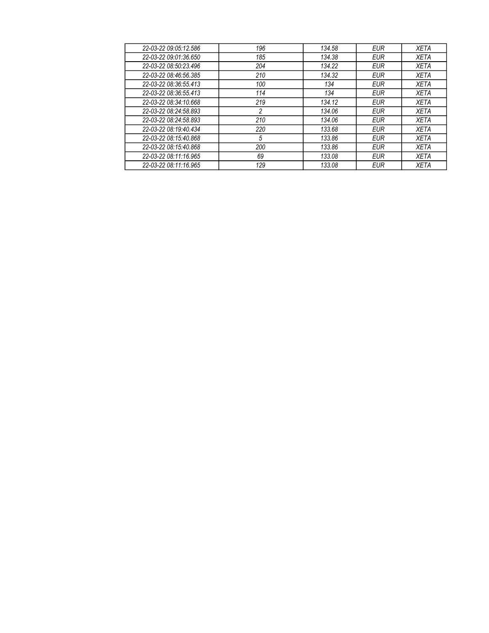| 22-03-22 09:05:12.586 | 196 | 134.58 | EUR        | <b>XETA</b> |
|-----------------------|-----|--------|------------|-------------|
| 22-03-22 09:01:36.650 | 185 | 134.38 | EUR        | XETA        |
| 22-03-22 08:50:23.496 | 204 | 134.22 | EUR        | XETA        |
| 22-03-22 08:46:56.385 | 210 | 134.32 | EUR        | <b>XETA</b> |
| 22-03-22 08:36:55.413 | 100 | 134    | EUR        | XETA        |
| 22-03-22 08:36:55.413 | 114 | 134    | EUR        | XETA        |
| 22-03-22 08:34:10.668 | 219 | 134.12 | EUR        | <b>XETA</b> |
| 22-03-22 08:24:58.893 | 2   | 134.06 | <b>EUR</b> | <b>XETA</b> |
| 22-03-22 08:24:58.893 | 210 | 134.06 | EUR        | <b>XETA</b> |
| 22-03-22 08:19:40.434 | 220 | 133.68 | EUR        | <b>XETA</b> |
| 22-03-22 08:15:40.868 | 5   | 133.86 | EUR        | XETA        |
| 22-03-22 08:15:40.868 | 200 | 133.86 | EUR        | <b>XETA</b> |
| 22-03-22 08:11:16.965 | 69  | 133.08 | EUR        | <b>XETA</b> |
| 22-03-22 08:11:16.965 | 129 | 133.08 | EUR        | <b>XETA</b> |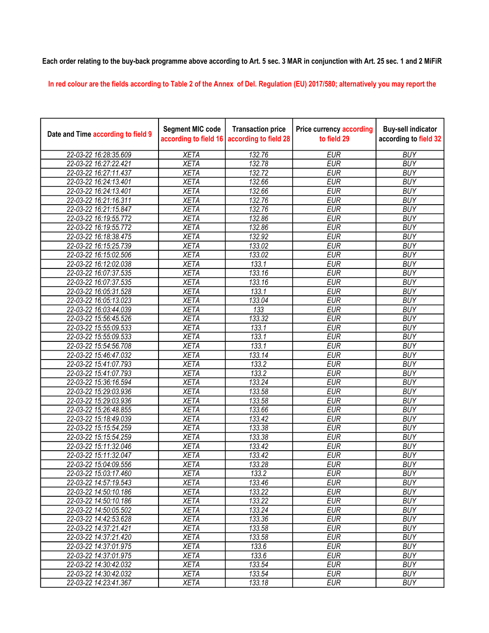## Each order relating to the buy-back programme above according to Art. 5 sec. 3 MAR in conjunction with Art. 25 sec. 1 and 2 MiFiR

In red colour are the fields according to Table 2 of the Annex of Del. Regulation (EU) 2017/580; alternatively you may report the

| Date and Time according to field 9 | <b>Segment MIC code</b><br>according to field 16 | <b>Transaction price</b><br>according to field 28 | <b>Price currency according</b><br>to field 29 | <b>Buy-sell indicator</b><br>according to field 32 |
|------------------------------------|--------------------------------------------------|---------------------------------------------------|------------------------------------------------|----------------------------------------------------|
| 22-03-22 16:28:35.609              | <b>XETA</b>                                      | 132.76                                            | <b>EUR</b>                                     | <b>BUY</b>                                         |
| 22-03-22 16:27:22.421              | <b>XETA</b>                                      | 132.78                                            | <b>EUR</b>                                     | <b>BUY</b>                                         |
| 22-03-22 16:27:11.437              | <b>XETA</b>                                      | 132.72                                            | <b>EUR</b>                                     | <b>BUY</b>                                         |
| 22-03-22 16:24:13.401              | <b>XETA</b>                                      | 132.66                                            | <b>EUR</b>                                     | <b>BUY</b>                                         |
| 22-03-22 16:24:13.401              | <b>XETA</b>                                      | 132.66                                            | <b>EUR</b>                                     | <b>BUY</b>                                         |
| 22-03-22 16:21:16.311              | <b>XETA</b>                                      | 132.76                                            | <b>EUR</b>                                     | <b>BUY</b>                                         |
| 22-03-22 16:21:15.847              | <b>XETA</b>                                      | 132.76                                            | <b>EUR</b>                                     | <b>BUY</b>                                         |
| 22-03-22 16:19:55.772              | <b>XETA</b>                                      | 132.86                                            | <b>EUR</b>                                     | <b>BUY</b>                                         |
| 22-03-22 16:19:55.772              | <b>XETA</b>                                      | 132.86                                            | <b>EUR</b>                                     | <b>BUY</b>                                         |
| 22-03-22 16:18:38.475              | <b>XETA</b>                                      | 132.92                                            | <b>EUR</b>                                     | <b>BUY</b>                                         |
| 22-03-22 16:15:25.739              | <b>XETA</b>                                      | 133.02                                            | <b>EUR</b>                                     | <b>BUY</b>                                         |
| 22-03-22 16:15:02.506              | <b>XETA</b>                                      | 133.02                                            | <b>EUR</b>                                     | <b>BUY</b>                                         |
| 22-03-22 16:12:02.038              | <b>XETA</b>                                      | 133.1                                             | <b>EUR</b>                                     | <b>BUY</b>                                         |
| 22-03-22 16:07:37.535              | <b>XETA</b>                                      | 133.16                                            | <b>EUR</b>                                     | <b>BUY</b>                                         |
| 22-03-22 16:07:37.535              | <b>XETA</b>                                      | 133.16                                            | <b>EUR</b>                                     | <b>BUY</b>                                         |
| 22-03-22 16:05:31.528              | <b>XETA</b>                                      | 133.1                                             | <b>EUR</b>                                     | <b>BUY</b>                                         |
| 22-03-22 16:05:13.023              | <b>XETA</b>                                      | 133.04                                            | <b>EUR</b>                                     | <b>BUY</b>                                         |
| 22-03-22 16:03:44.039              | <b>XETA</b>                                      | $\overline{133}$                                  | <b>EUR</b>                                     | <b>BUY</b>                                         |
| 22-03-22 15:56:45.526              | <b>XETA</b>                                      | 133.32                                            | <b>EUR</b>                                     | <b>BUY</b>                                         |
| 22-03-22 15:55:09.533              | <b>XETA</b>                                      | 133.1                                             | <b>EUR</b>                                     | <b>BUY</b>                                         |
| 22-03-22 15:55:09.533              | <b>XETA</b>                                      | 133.1                                             | <b>EUR</b>                                     | <b>BUY</b>                                         |
| 22-03-22 15:54:56.708              | <b>XETA</b>                                      | 133.1                                             | <b>EUR</b>                                     | <b>BUY</b>                                         |
| 22-03-22 15:46:47.032              | <b>XETA</b>                                      | 133.14                                            | <b>EUR</b>                                     | <b>BUY</b>                                         |
| 22-03-22 15:41:07.793              | <b>XETA</b>                                      | 133.2                                             | <b>EUR</b>                                     | <b>BUY</b>                                         |
| 22-03-22 15:41:07.793              | <b>XETA</b>                                      | 133.2                                             | <b>EUR</b>                                     | <b>BUY</b>                                         |
| 22-03-22 15:36:16.594              | <b>XETA</b>                                      | 133.24                                            | <b>EUR</b>                                     | <b>BUY</b>                                         |
| 22-03-22 15:29:03.936              | <b>XETA</b>                                      | 133.58                                            | <b>EUR</b>                                     | <b>BUY</b>                                         |
| 22-03-22 15:29:03.936              | <b>XETA</b>                                      | 133.58                                            | <b>EUR</b>                                     | <b>BUY</b>                                         |
| 22-03-22 15:26:48.855              | <b>XETA</b>                                      | 133.66                                            | <b>EUR</b>                                     | <b>BUY</b>                                         |
| 22-03-22 15:18:49.039              | <b>XETA</b>                                      | 133.42                                            | <b>EUR</b>                                     | <b>BUY</b>                                         |
| 22-03-22 15:15:54.259              | <b>XETA</b>                                      | 133.38                                            | <b>EUR</b>                                     | <b>BUY</b>                                         |
| 22-03-22 15:15:54.259              | <b>XETA</b>                                      | 133.38                                            | <b>EUR</b>                                     | <b>BUY</b>                                         |
| 22-03-22 15:11:32.046              | <b>XETA</b>                                      | 133.42                                            | <b>EUR</b>                                     | <b>BUY</b>                                         |
| 22-03-22 15:11:32.047              | <b>XETA</b>                                      | 133.42                                            | <b>EUR</b>                                     | <b>BUY</b>                                         |
| 22-03-22 15:04:09.556              | <b>XETA</b>                                      | 133.28                                            | <b>EUR</b>                                     | <b>BUY</b>                                         |
| 22-03-22 15:03:17.460              | <b>XETA</b>                                      | 133.2                                             | <b>EUR</b>                                     | <b>BUY</b>                                         |
| 22-03-22 14:57:19.543              | <b>XETA</b>                                      | 133.46                                            | <b>EUR</b>                                     | <b>BUY</b>                                         |
| 22-03-22 14:50:10.186              | <b>XETA</b>                                      | 133.22                                            | <b>EUR</b>                                     | <b>BUY</b>                                         |
| 22-03-22 14:50:10.186              | <b>XETA</b>                                      | 133.22                                            | <b>EUR</b>                                     | <b>BUY</b>                                         |
| 22-03-22 14:50:05.502              | <b>XETA</b>                                      | 133.24                                            | <b>EUR</b>                                     | <b>BUY</b>                                         |
| 22-03-22 14:42:53.628              | <b>XETA</b>                                      | 133.36                                            | <b>EUR</b>                                     | <b>BUY</b>                                         |
| 22-03-22 14:37:21.421              | <b>XETA</b>                                      | 133.58                                            | <b>EUR</b>                                     | <b>BUY</b>                                         |
| 22-03-22 14:37:21.420              | <b>XETA</b>                                      | 133.58                                            | <b>EUR</b>                                     | <b>BUY</b>                                         |
| 22-03-22 14:37:01.975              | <b>XETA</b>                                      | 133.6                                             | <b>EUR</b>                                     | <b>BUY</b>                                         |
| 22-03-22 14:37:01.975              | <b>XETA</b>                                      | 133.6                                             | <b>EUR</b>                                     | <b>BUY</b>                                         |
| 22-03-22 14:30:42.032              | <b>XETA</b>                                      | 133.54                                            | <b>EUR</b>                                     | <b>BUY</b>                                         |
| 22-03-22 14:30:42.032              | <b>XETA</b>                                      | 133.54                                            | <b>EUR</b>                                     | <b>BUY</b>                                         |
| 22-03-22 14:23:41.367              | <b>XETA</b>                                      | 133.18                                            | <b>EUR</b>                                     | <b>BUY</b>                                         |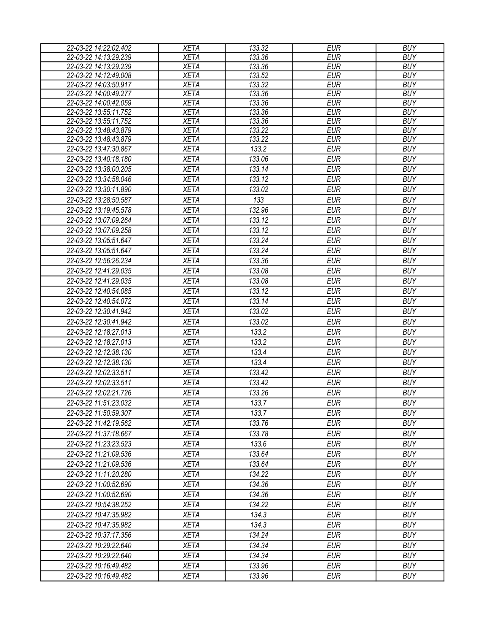| 22-03-22 14:22:02.402 | <b>XETA</b> | 133.32 | <b>EUR</b> | <b>BUY</b> |
|-----------------------|-------------|--------|------------|------------|
| 22-03-22 14:13:29.239 | <b>XETA</b> | 133.36 | <b>EUR</b> | <b>BUY</b> |
| 22-03-22 14:13:29.239 | <b>XETA</b> | 133.36 | <b>EUR</b> | <b>BUY</b> |
| 22-03-22 14:12:49.008 | <b>XETA</b> | 133.52 | <b>EUR</b> | <b>BUY</b> |
| 22-03-22 14:03:50.917 | <b>XETA</b> | 133.32 | <b>EUR</b> | <b>BUY</b> |
| 22-03-22 14:00:49.277 | <b>XETA</b> | 133.36 | <b>EUR</b> | <b>BUY</b> |
| 22-03-22 14:00:42.059 | <b>XETA</b> | 133.36 | <b>EUR</b> | <b>BUY</b> |
| 22-03-22 13:55:11.752 | <b>XETA</b> | 133.36 | <b>EUR</b> | <b>BUY</b> |
| 22-03-22 13:55:11.752 | <b>XETA</b> | 133.36 | <b>EUR</b> | <b>BUY</b> |
| 22-03-22 13:48:43.879 | <b>XETA</b> | 133.22 | <b>EUR</b> | <b>BUY</b> |
| 22-03-22 13:48:43.879 | <b>XETA</b> | 133.22 | <b>EUR</b> | <b>BUY</b> |
| 22-03-22 13:47:30.867 | <b>XETA</b> | 133.2  | <b>EUR</b> | <b>BUY</b> |
| 22-03-22 13:40:18.180 | <b>XETA</b> | 133.06 | <b>EUR</b> | <b>BUY</b> |
| 22-03-22 13:38:00.205 | <b>XETA</b> | 133.14 | <b>EUR</b> | <b>BUY</b> |
| 22-03-22 13:34:58.046 | <b>XETA</b> | 133.12 | <b>EUR</b> | <b>BUY</b> |
| 22-03-22 13:30:11.890 | <b>XETA</b> | 133.02 | <b>EUR</b> | <b>BUY</b> |
| 22-03-22 13:28:50.587 | <b>XETA</b> | 133    | <b>EUR</b> | <b>BUY</b> |
| 22-03-22 13:19:45.578 | <b>XETA</b> | 132.96 | <b>EUR</b> | <b>BUY</b> |
| 22-03-22 13:07:09.264 | <b>XETA</b> | 133.12 | <b>EUR</b> | <b>BUY</b> |
| 22-03-22 13:07:09.258 | <b>XETA</b> | 133.12 | <b>EUR</b> | <b>BUY</b> |
| 22-03-22 13:05:51.647 | <b>XETA</b> | 133.24 | <b>EUR</b> | <b>BUY</b> |
| 22-03-22 13:05:51.647 | <b>XETA</b> | 133.24 | <b>EUR</b> | <b>BUY</b> |
| 22-03-22 12:56:26.234 | <b>XETA</b> | 133.36 | <b>EUR</b> | <b>BUY</b> |
| 22-03-22 12:41:29.035 | <b>XETA</b> | 133.08 | <b>EUR</b> | <b>BUY</b> |
| 22-03-22 12:41:29.035 | <b>XETA</b> | 133.08 | <b>EUR</b> | <b>BUY</b> |
| 22-03-22 12:40:54.085 | <b>XETA</b> | 133.12 | <b>EUR</b> | <b>BUY</b> |
| 22-03-22 12:40:54.072 | <b>XETA</b> | 133.14 | <b>EUR</b> | <b>BUY</b> |
| 22-03-22 12:30:41.942 | <b>XETA</b> | 133.02 | <b>EUR</b> | <b>BUY</b> |
| 22-03-22 12:30:41.942 | <b>XETA</b> | 133.02 | <b>EUR</b> | <b>BUY</b> |
| 22-03-22 12:18:27.013 |             | 133.2  | <b>EUR</b> | <b>BUY</b> |
|                       | <b>XETA</b> |        |            |            |
| 22-03-22 12:18:27.013 | <b>XETA</b> | 133.2  | <b>EUR</b> | <b>BUY</b> |
| 22-03-22 12:12:38.130 | <b>XETA</b> | 133.4  | <b>EUR</b> | <b>BUY</b> |
| 22-03-22 12:12:38.130 | <b>XETA</b> | 133.4  | <b>EUR</b> | <b>BUY</b> |
| 22-03-22 12:02:33.511 | <b>XETA</b> | 133.42 | <b>EUR</b> | <b>BUY</b> |
| 22-03-22 12:02:33.511 | <b>XETA</b> | 133.42 | <b>EUR</b> | <b>BUY</b> |
| 22-03-22 12:02:21.726 | <b>XETA</b> | 133.26 | <b>EUR</b> | <b>BUY</b> |
| 22-03-22 11:51:23.032 | <b>XETA</b> | 133.7  | <b>EUR</b> | <b>BUY</b> |
| 22-03-22 11:50:59.307 | <b>XETA</b> | 133.7  | EUR        | <b>BUY</b> |
| 22-03-22 11:42:19.562 | <b>XETA</b> | 133.76 | EUR        | <b>BUY</b> |
| 22-03-22 11:37:18.667 | <b>XETA</b> | 133.78 | <b>EUR</b> | <b>BUY</b> |
| 22-03-22 11:23:23.523 | <b>XETA</b> | 133.6  | <b>EUR</b> | <b>BUY</b> |
| 22-03-22 11:21:09.536 | <b>XETA</b> | 133.64 | <b>EUR</b> | <b>BUY</b> |
| 22-03-22 11:21:09.536 | <b>XETA</b> | 133.64 | <b>EUR</b> | <b>BUY</b> |
| 22-03-22 11:11:20.280 | <b>XETA</b> | 134.22 | <b>EUR</b> | <b>BUY</b> |
| 22-03-22 11:00:52.690 | <b>XETA</b> | 134.36 | <b>EUR</b> | <b>BUY</b> |
| 22-03-22 11:00:52.690 | <b>XETA</b> | 134.36 | <b>EUR</b> | <b>BUY</b> |
| 22-03-22 10:54:38.252 | <b>XETA</b> | 134.22 | EUR        | <b>BUY</b> |
| 22-03-22 10:47:35.982 | <b>XETA</b> | 134.3  | <b>EUR</b> | <b>BUY</b> |
| 22-03-22 10:47:35.982 | <b>XETA</b> | 134.3  | <b>EUR</b> | <b>BUY</b> |
| 22-03-22 10:37:17.356 | <b>XETA</b> | 134.24 | <b>EUR</b> | <b>BUY</b> |
|                       |             | 134.34 | <b>EUR</b> | <b>BUY</b> |
| 22-03-22 10:29:22.640 | <b>XETA</b> |        |            |            |
| 22-03-22 10:29:22.640 | <b>XETA</b> | 134.34 | <b>EUR</b> | <b>BUY</b> |
| 22-03-22 10:16:49.482 | <b>XETA</b> | 133.96 | <b>EUR</b> | <b>BUY</b> |
| 22-03-22 10:16:49.482 | <b>XETA</b> | 133.96 | <b>EUR</b> | <b>BUY</b> |